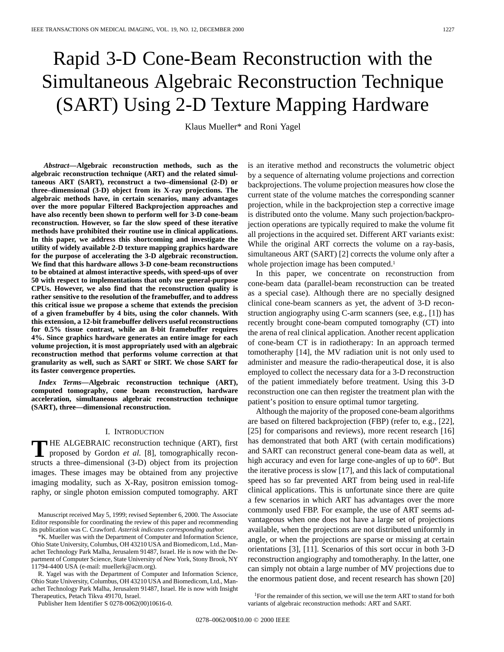# Rapid 3-D Cone-Beam Reconstruction with the Simultaneous Algebraic Reconstruction Technique (SART) Using 2-D Texture Mapping Hardware

Klaus Mueller\* and Roni Yagel

*Abstract—***Algebraic reconstruction methods, such as the algebraic reconstruction technique (ART) and the related simultaneous ART (SART), reconstruct a two–dimensional (2-D) or three–dimensional (3-D) object from its X-ray projections. The algebraic methods have, in certain scenarios, many advantages over the more popular Filtered Backprojection approaches and have also recently been shown to perform well for 3-D cone-beam reconstruction. However, so far the slow speed of these iterative methods have prohibited their routine use in clinical applications. In this paper, we address this shortcoming and investigate the utility of widely available 2-D texture mapping graphics hardware for the purpose of accelerating the 3-D algebraic reconstruction. We find that this hardware allows 3-D cone-beam reconstructions to be obtained at almost interactive speeds, with speed-ups of over 50 with respect to implementations that only use general-purpose CPUs. However, we also find that the reconstruction quality is rather sensitive to the resolution of the framebuffer, and to address this critical issue we propose a scheme that extends the precision of a given framebuffer by 4 bits, using the color channels. With this extension, a 12-bit framebuffer delivers useful reconstructions for 0.5% tissue contrast, while an 8-bit framebuffer requires 4%. Since graphics hardware generates an entire image for each volume projection, it is most appropriately used with an algebraic reconstruction method that performs volume correction at that granularity as well, such as SART or SIRT. We chose SART for its faster convergence properties.**

*Index Terms—***Algebraic reconstruction technique (ART), computed tomography, cone beam reconstruction, hardware acceleration, simultaneous algebraic reconstruction technique (SART), three—dimensional reconstruction.**

#### I. INTRODUCTION

**T** HE ALGEBRAIC reconstruction technique (ART), first<br>proposed by Gordon *et al.* [8], tomographically reconstructs a three–dimensional (3-D) object from its projection images. These images may be obtained from any projective imaging modality, such as X-Ray, positron emission tomography, or single photon emission computed tomography. ART

Manuscript received May 5, 1999; revised September 6, 2000. The Associate Editor responsible for coordinating the review of this paper and recommending its publication was C. Crawford. *Asterisk indicates corresponding author.*

\*K. Mueller was with the Department of Computer and Information Science, Ohio State University, Columbus, OH 43210 USA and Biomedicom, Ltd., Manachet Technology Park Malha, Jerusalem 91487, Israel. He is now with the Department of Computer Science, State University of New York, Stony Brook, NY 11794-4400 USA (e-mail: muellerk@acm.org).

R. Yagel was with the Department of Computer and Information Science, Ohio State University, Columbus, OH 43210 USA and Biomedicom, Ltd., Manachet Technology Park Malha, Jerusalem 91487, Israel. He is now with Insight Therapeutics, Petach Tikva 49170, Israel.

Publisher Item Identifier S 0278-0062(00)10616-0.

is an iterative method and reconstructs the volumetric object by a sequence of alternating volume projections and correction backprojections. The volume projection measures how close the current state of the volume matches the corresponding scanner projection, while in the backprojection step a corrective image is distributed onto the volume. Many such projection/backprojection operations are typically required to make the volume fit all projections in the acquired set. Different ART variants exist: While the original ART corrects the volume on a ray-basis, simultaneous ART (SART) [2] corrects the volume only after a whole projection image has been computed.<sup>1</sup>

In this paper, we concentrate on reconstruction from cone-beam data (parallel-beam reconstruction can be treated as a special case). Although there are no specially designed clinical cone-beam scanners as yet, the advent of 3-D reconstruction angiography using C-arm scanners (see, e.g., [1]) has recently brought cone-beam computed tomography (CT) into the arena of real clinical application. Another recent application of cone-beam CT is in radiotherapy: In an approach termed tomotheraphy [14], the MV radiation unit is not only used to administer and measure the radio-therapeutical dose, it is also employed to collect the necessary data for a 3-D reconstruction of the patient immediately before treatment. Using this 3-D reconstruction one can then register the treatment plan with the patient's position to ensure optimal tumor targeting.

Although the majority of the proposed cone-beam algorithms are based on filtered backprojection (FBP) (refer to, e.g., [22], [25] for comparisons and reviews), more recent research [16] has demonstrated that both ART (with certain modifications) and SART can reconstruct general cone-beam data as well, at high accuracy and even for large cone-angles of up to  $60^\circ$ . But the iterative process is slow [17], and this lack of computational speed has so far prevented ART from being used in real-life clinical applications. This is unfortunate since there are quite a few scenarios in which ART has advantages over the more commonly used FBP. For example, the use of ART seems advantageous when one does not have a large set of projections available, when the projections are not distributed uniformly in angle, or when the projections are sparse or missing at certain orientations [3], [11]. Scenarios of this sort occur in both 3-D reconstruction angiography and tomotheraphy. In the latter, one can simply not obtain a large number of MV projections due to the enormous patient dose, and recent research has shown [20]

<sup>1</sup>For the remainder of this section, we will use the term ART to stand for both variants of algebraic reconstruction methods: ART and SART.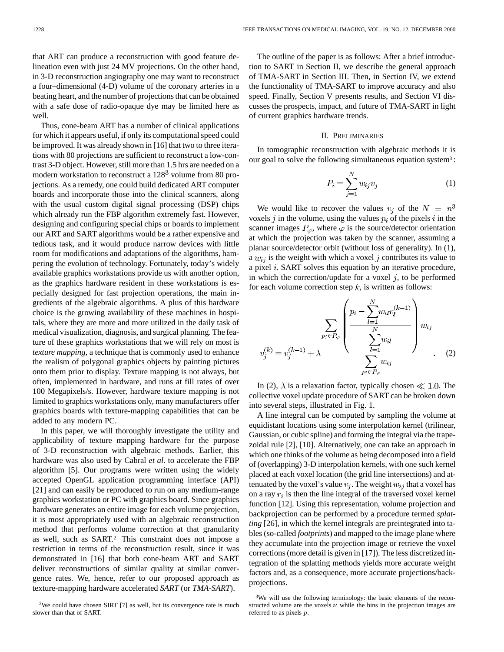with a safe dose of radio-opaque dye may be limited here as

well. Thus, cone-beam ART has a number of clinical applications for which it appears useful, if only its computational speed could be improved. It was already shown in [16] that two to three iterations with 80 projections are sufficient to reconstruct a low-contrast 3-D object. However, still more than 1.5 hrs are needed on a modern workstation to reconstruct a  $128<sup>3</sup>$  volume from 80 projections. As a remedy, one could build dedicated ART computer boards and incorporate those into the clinical scanners, along with the usual custom digital signal processing (DSP) chips which already run the FBP algorithm extremely fast. However, designing and configuring special chips or boards to implement our ART and SART algorithms would be a rather expensive and tedious task, and it would produce narrow devices with little room for modifications and adaptations of the algorithms, hampering the evolution of technology. Fortunately, today's widely available graphics workstations provide us with another option, as the graphics hardware resident in these workstations is especially designed for fast projection operations, the main ingredients of the algebraic algorithms. A plus of this hardware choice is the growing availability of these machines in hospitals, where they are more and more utilized in the daily task of medical visualization, diagnosis, and surgical planning. The feature of these graphics workstations that we will rely on most is *texture mapping*, a technique that is commonly used to enhance the realism of polygonal graphics objects by painting pictures onto them prior to display. Texture mapping is not always, but often, implemented in hardware, and runs at fill rates of over 100 Megapixels/s. However, hardware texture mapping is not limited to graphics workstations only, many manufacturers offer graphics boards with texture-mapping capabilities that can be added to any modern PC.

In this paper, we will thoroughly investigate the utility and applicability of texture mapping hardware for the purpose of 3-D reconstruction with algebraic methods. Earlier, this hardware was also used by Cabral *et al.* to accelerate the FBP algorithm [5]. Our programs were written using the widely accepted OpenGL application programming interface (API) [21] and can easily be reproduced to run on any medium-range graphics workstation or PC with graphics board. Since graphics hardware generates an entire image for each volume projection, it is most appropriately used with an algebraic reconstruction method that performs volume correction at that granularity as well, such as SART.2 This constraint does not impose a restriction in terms of the reconstruction result, since it was demonstrated in [16] that both cone-beam ART and SART deliver reconstructions of similar quality at similar convergence rates. We, hence, refer to our proposed approach as texture-mapping hardware accelerated *SART* (or *TMA-SART*).

The outline of the paper is as follows: After a brief introduction to SART in Section II, we describe the general approach of TMA-SART in Section III. Then, in Section IV, we extend the functionality of TMA-SART to improve accuracy and also speed. Finally, Section V presents results, and Section VI discusses the prospects, impact, and future of TMA-SART in light of current graphics hardware trends.

# II. PRELIMINARIES

In tomographic reconstruction with algebraic methods it is our goal to solve the following simultaneous equation system3 :

$$
P_i = \sum_{j=1}^{N} w_{ij} v_j \tag{1}
$$

We would like to recover the values  $v_i$  of the  $N = n^3$ voxels j in the volume, using the values  $p_i$  of the pixels i in the scanner images  $P_{\varphi}$ , where  $\varphi$  is the source/detector orientation at which the projection was taken by the scanner, assuming a planar source/detector orbit (without loss of generality). In (1), a  $w_{ij}$  is the weight with which a voxel j contributes its value to a pixel  $i$ . SART solves this equation by an iterative procedure, in which the correction/update for a voxel  $j$ , to be performed for each volume correction step  $k$ , is written as follows:

$$
v_j^{(k)} = v_j^{(k-1)} + \lambda \frac{\sum_{p_i \in P_{\varphi}} \left( \frac{p_i - \sum_{l=1}^N w_{il} v_l^{(k-1)}}{\sum_{l=1}^N w_{il}} \right) w_{ij}}{\sum_{p_i \in P_{\varphi}} w_{ij}}.
$$
 (2)

In (2),  $\lambda$  is a relaxation factor, typically chosen  $\ll 1.0$ . The collective voxel update procedure of SART can be broken down into several steps, illustrated in Fig. 1.

A line integral can be computed by sampling the volume at equidistant locations using some interpolation kernel (trilinear, Gaussian, or cubic spline) and forming the integral via the trapezoidal rule [2], [10]. Alternatively, one can take an approach in which one thinks of the volume as being decomposed into a field of (overlapping) 3-D interpolation kernels, with one such kernel placed at each voxel location (the grid line intersections) and attenuated by the voxel's value  $v_j$ . The weight  $w_{ij}$  that a voxel has on a ray  $r_i$  is then the line integral of the traversed voxel kernel function [12]. Using this representation, volume projection and backprojection can be performed by a procedure termed *splatting* [26], in which the kernel integrals are preintegrated into tables (so-called *footprints*) and mapped to the image plane where they accumulate into the projection image or retrieve the voxel corrections (more detail is given in [17]). The less discretized integration of the splatting methods yields more accurate weight factors and, as a consequence, more accurate projections/backprojections.

<sup>&</sup>lt;sup>2</sup>We could have chosen SIRT [7] as well, but its convergence rate is much slower than that of SART.

<sup>&</sup>lt;sup>3</sup>We will use the following terminology: the basic elements of the reconstructed volume are the voxels  $\nu$  while the bins in the projection images are referred to as pixels p.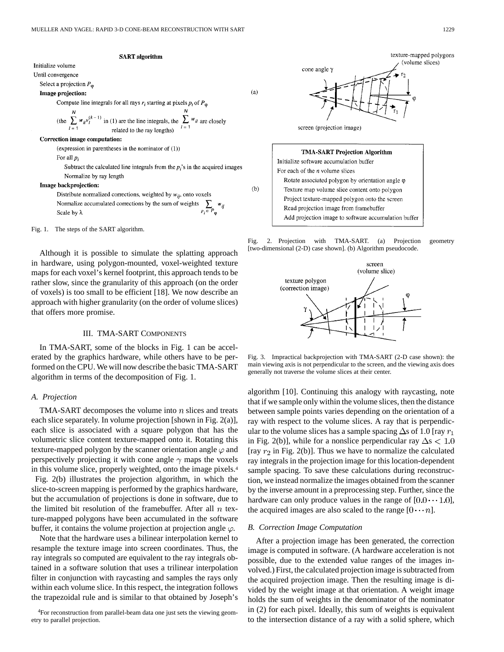

# Initialize volume

Until convergence

Select a projection  $P_{\varphi}$ 

# Image projection:

Compute line integrals for all rays  $r_i$  starting at pixels  $p_i$  of  $P_{\varphi}$ 

the 
$$
\sum_{l=1}^{N} w_{il} v_l^{(k-1)}
$$
 in (1) are the line integrals, the  $\sum_{l=1}^{N} w_{il}$  are closely related to the ray lengths)

#### Correction image computation:

(expression in parentheses in the nominator of  $(1)$ )

#### For all  $p_i$

Subtract the calculated line integrals from the  $p_i$ 's in the acquired images Normalize by ray length

#### Image backprojection:

Distribute normalized corrections, weighted by  $w_{ij}$ , onto voxels  $\sum_{p_i\in P_\varphi} w_{ij}$ Normalize accumulated corrections by the sum of weights Scale by  $\lambda$ 

Fig. 1. The steps of the SART algorithm.

Although it is possible to simulate the splatting approach in hardware, using polygon-mounted, voxel-weighted texture maps for each voxel's kernel footprint, this approach tends to be rather slow, since the granularity of this approach (on the order of voxels) is too small to be efficient [18]. We now describe an approach with higher granularity (on the order of volume slices) that offers more promise.

# III. TMA-SART COMPONENTS

In TMA-SART, some of the blocks in Fig. 1 can be accelerated by the graphics hardware, while others have to be performed on the CPU. We will now describe the basic TMA-SART algorithm in terms of the decomposition of Fig. 1.

#### *A. Projection*

TMA-SART decomposes the volume into  $n$  slices and treats each slice separately. In volume projection [shown in Fig. 2(a)], each slice is associated with a square polygon that has the volumetric slice content texture-mapped onto it. Rotating this texture-mapped polygon by the scanner orientation angle  $\varphi$  and perspectively projecting it with cone angle  $\gamma$  maps the voxels in this volume slice, properly weighted, onto the image pixels.4 Fig. 2(b) illustrates the projection algorithm, in which the slice-to-screen mapping is performed by the graphics hardware, but the accumulation of projections is done in software, due to the limited bit resolution of the framebuffer. After all  $n$  texture-mapped polygons have been accumulated in the software buffer, it contains the volume projection at projection angle  $\varphi$ .

Note that the hardware uses a bilinear interpolation kernel to resample the texture image into screen coordinates. Thus, the ray integrals so computed are equivalent to the ray integrals obtained in a software solution that uses a trilinear interpolation filter in conjunction with raycasting and samples the rays only within each volume slice. In this respect, the integration follows the trapezoidal rule and is similar to that obtained by Joseph's

4For reconstruction from parallel-beam data one just sets the viewing geometry to parallel projection.



| TMA-SART Projection Algorithm                            |
|----------------------------------------------------------|
| Initialize software accumulation buffer                  |
| For each of the $n$ volume slices                        |
| Rotate associated polygon by orientation angle $\varphi$ |
| Texture map volume slice content onto polygon            |
| Project texture-mapped polygon onto the screen           |
| Read projection image from framebuffer                   |
| Add projection image to software accumulation buffer     |

 $(a)$ 

 $(b)$ 

Fig. 2. Projection with TMA-SART. (a) Projection geometry [two-dimensional (2-D) case shown]. (b) Algorithm pseudocode.



Fig. 3. Impractical backprojection with TMA-SART (2-D case shown): the main viewing axis is not perpendicular to the screen, and the viewing axis does generally not traverse the volume slices at their center.

algorithm [10]. Continuing this analogy with raycasting, note that if we sample only within the volume slices, then the distance between sample points varies depending on the orientation of a ray with respect to the volume slices. A ray that is perpendicular to the volume slices has a sample spacing  $\Delta$ s of 1.0 [ray  $r_1$ ] in Fig. 2(b)], while for a nonslice perpendicular ray  $\Delta s < 1.0$ [ray  $r_2$  in Fig. 2(b)]. Thus we have to normalize the calculated ray integrals in the projection image for this location-dependent sample spacing. To save these calculations during reconstruction, we instead normalize the images obtained from the scanner by the inverse amount in a preprocessing step. Further, since the hardware can only produce values in the range of  $[0.0 \cdots 1.0]$ , the acquired images are also scaled to the range  $[0 \cdots n]$ .

#### *B. Correction Image Computation*

After a projection image has been generated, the correction image is computed in software. (A hardware acceleration is not possible, due to the extended value ranges of the images involved.) First, the calculated projection image is subtracted from the acquired projection image. Then the resulting image is divided by the weight image at that orientation. A weight image holds the sum of weights in the denominator of the nominator in (2) for each pixel. Ideally, this sum of weights is equivalent to the intersection distance of a ray with a solid sphere, which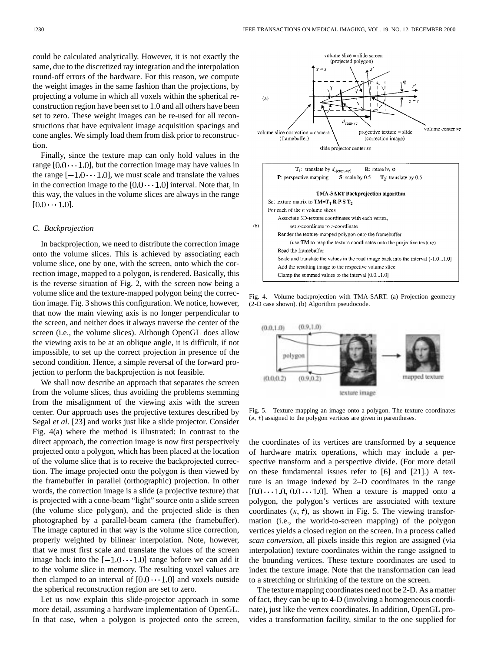could be calculated analytically. However, it is not exactly the same, due to the discretized ray integration and the interpolation round-off errors of the hardware. For this reason, we compute the weight images in the same fashion than the projections, by projecting a volume in which all voxels within the spherical reconstruction region have been set to 1.0 and all others have been set to zero. These weight images can be re-used for all reconstructions that have equivalent image acquisition spacings and cone angles. We simply load them from disk prior to reconstruction.

Finally, since the texture map can only hold values in the range  $[0.0 \cdots 1.0]$ , but the correction image may have values in the range  $[-1.0 \cdots 1.0]$ , we must scale and translate the values in the correction image to the  $[0.0 \cdots 1.0]$  interval. Note that, in this way, the values in the volume slices are always in the range  $[0.0 \cdots 1.0].$ 

## *C. Backprojection*

In backprojection, we need to distribute the correction image onto the volume slices. This is achieved by associating each volume slice, one by one, with the screen, onto which the correction image, mapped to a polygon, is rendered. Basically, this is the reverse situation of Fig. 2, with the screen now being a volume slice and the texture-mapped polygon being the correction image. Fig. 3 shows this configuration. We notice, however, that now the main viewing axis is no longer perpendicular to the screen, and neither does it always traverse the center of the screen (i.e., the volume slices). Although OpenGL does allow the viewing axis to be at an oblique angle, it is difficult, if not impossible, to set up the correct projection in presence of the second condition. Hence, a simple reversal of the forward projection to perform the backprojection is not feasible.

We shall now describe an approach that separates the screen from the volume slices, thus avoiding the problems stemming from the misalignment of the viewing axis with the screen center. Our approach uses the projective textures described by Segal *et al.* [23] and works just like a slide projector. Consider Fig. 4(a) where the method is illustrated: In contrast to the direct approach, the correction image is now first perspectively projected onto a polygon, which has been placed at the location of the volume slice that is to receive the backprojected correction. The image projected onto the polygon is then viewed by the framebuffer in parallel (orthographic) projection. In other words, the correction image is a slide (a projective texture) that is projected with a cone-beam "light" source onto a slide screen (the volume slice polygon), and the projected slide is then photographed by a parallel-beam camera (the framebuffer). The image captured in that way is the volume slice correction, properly weighted by bilinear interpolation. Note, however, that we must first scale and translate the values of the screen image back into the  $[-1.0 \cdots 1.0]$  range before we can add it to the volume slice in memory. The resulting voxel values are then clamped to an interval of  $[0.0 \cdots 1.0]$  and voxels outside the spherical reconstruction region are set to zero.

Let us now explain this slide-projector approach in some more detail, assuming a hardware implementation of OpenGL. In that case, when a polygon is projected onto the screen,



Fig. 4. Volume backprojection with TMA-SART. (a) Projection geometry (2-D case shown). (b) Algorithm pseudocode.



Fig. 5. Texture mapping an image onto a polygon. The texture coordinates  $(s, t)$  assigned to the polygon vertices are given in parentheses.

the coordinates of its vertices are transformed by a sequence of hardware matrix operations, which may include a perspective transform and a perspective divide. (For more detail on these fundamental issues refer to [6] and [21].) A texture is an image indexed by 2–D coordinates in the range  $[0.0 \cdots 1.0, 0.0 \cdots 1.0]$ . When a texture is mapped onto a polygon, the polygon's vertices are associated with texture coordinates  $(s, t)$ , as shown in Fig. 5. The viewing transformation (i.e., the world-to-screen mapping) of the polygon vertices yields a closed region on the screen. In a process called *scan conversion*, all pixels inside this region are assigned (via interpolation) texture coordinates within the range assigned to the bounding vertices. These texture coordinates are used to index the texture image. Note that the transformation can lead to a stretching or shrinking of the texture on the screen.

The texture mapping coordinates need not be 2-D. As a matter of fact, they can be up to 4-D (involving a homogeneous coordinate), just like the vertex coordinates. In addition, OpenGL provides a transformation facility, similar to the one supplied for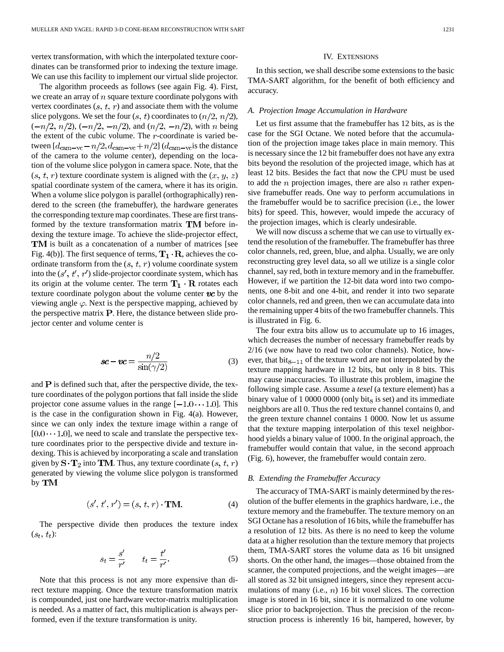vertex transformation, with which the interpolated texture coordinates can be transformed prior to indexing the texture image. We can use this facility to implement our virtual slide projector.

The algorithm proceeds as follows (see again Fig. 4). First, we create an array of  $n$  square texture coordinate polygons with vertex coordinates  $(s, t, r)$  and associate them with the volume slice polygons. We set the four  $(s, t)$  coordinates to  $(n/2, n/2)$ ,  $(-n/2, n/2), (-n/2, -n/2),$  and  $(n/2, -n/2)$ , with *n* being the extent of the cubic volume. The  $r$ -coordinate is varied between  $[d_{\text{cam}-\text{vc}}-n/2, d_{\text{cam}-\text{vc}}+n/2]$  ( $d_{\text{cam}-\text{vc}}$  is the distance of the camera to the *v*olume *c*enter), depending on the location of the volume slice polygon in camera space. Note, that the  $(s, t, r)$  texture coordinate system is aligned with the  $(x, y, z)$ spatial coordinate system of the camera, where it has its origin. When a volume slice polygon is parallel (orthographically) rendered to the screen (the framebuffer), the hardware generates the corresponding texture map coordinates. These are first transformed by the texture transformation matrix  $TM$  before indexing the texture image. To achieve the slide-projector effect, TM is built as a concatenation of a number of matrices [see Fig. 4(b)]. The first sequence of terms,  $T_1 \cdot R$ , achieves the coordinate transform from the  $(s, t, r)$  volume coordinate system into the  $(s', t', r')$  slide-projector coordinate system, which has its origin at the volume center. The term  $T_1 \cdot R$  rotates each texture coordinate polygon about the volume center  $vc$  by the viewing angle  $\varphi$ . Next is the perspective mapping, achieved by the perspective matrix  $P$ . Here, the distance between slide projector center and volume center is

$$
sc - vc = \frac{n/2}{\sin(\gamma/2)}\tag{3}
$$

and  $P$  is defined such that, after the perspective divide, the texture coordinates of the polygon portions that fall inside the slide projector cone assume values in the range  $[-1.0 \cdots 1.0]$ . This is the case in the configuration shown in Fig. 4(a). However, since we can only index the texture image within a range of  $[0.0 \cdots 1.0]$ , we need to scale and translate the perspective texture coordinates prior to the perspective divide and texture indexing. This is achieved by incorporating a scale and translation given by  $S \cdot T_2$  into TM. Thus, any texture coordinate  $(s, t, r)$ generated by viewing the volume slice polygon is transformed by TM

$$
(s', t', r') = (s, t, r) \cdot \mathbf{TM}.
$$
 (4)

The perspective divide then produces the texture index  $(s_t, t_t)$ :

$$
s_t = \frac{s'}{r'} \qquad t_t = \frac{t'}{r'}.
$$

Note that this process is not any more expensive than direct texture mapping. Once the texture transformation matrix is compounded, just one hardware vector-matrix multiplication is needed. As a matter of fact, this multiplication is always performed, even if the texture transformation is unity.

#### IV. EXTENSIONS

In this section, we shall describe some extensions to the basic TMA-SART algorithm, for the benefit of both efficiency and accuracy.

## *A. Projection Image Accumulation in Hardware*

Let us first assume that the framebuffer has 12 bits, as is the case for the SGI Octane. We noted before that the accumulation of the projection image takes place in main memory. This is necessary since the 12 bit framebuffer does not have any extra bits beyond the resolution of the projected image, which has at least 12 bits. Besides the fact that now the CPU must be used to add the *n* projection images, there are also *n* rather expensive framebuffer reads. One way to perform accumulations in the framebuffer would be to sacrifice precision (i.e., the lower bits) for speed. This, however, would impede the accuracy of the projection images, which is clearly undesirable.

We will now discuss a scheme that we can use to virtually extend the resolution of the framebuffer. The framebuffer has three color channels, red, green, blue, and alpha. Usually, we are only reconstructing grey level data, so all we utilize is a single color channel, say red, both in texture memory and in the framebuffer. However, if we partition the 12-bit data word into two components, one 8-bit and one 4-bit, and render it into two separate color channels, red and green, then we can accumulate data into the remaining upper 4 bits of the two framebuffer channels. This is illustrated in Fig. 6.

The four extra bits allow us to accumulate up to 16 images, which decreases the number of necessary framebuffer reads by 2/16 (we now have to read two color channels). Notice, however, that bit<sub>8–11</sub> of the texture word are not interpolated by the texture mapping hardware in 12 bits, but only in 8 bits. This may cause inaccuracies. To illustrate this problem, imagine the following simple case. Assume a *texel* (a texture element) has a binary value of  $1\,0000\,0000$  (only bit<sub>8</sub> is set) and its immediate neighbors are all 0. Thus the red texture channel contains 0, and the green texture channel contains 1 0000. Now let us assume that the texture mapping interpolation of this texel neighborhood yields a binary value of 1000. In the original approach, the framebuffer would contain that value, in the second approach (Fig. 6), however, the framebuffer would contain zero.

# *B. Extending the Framebuffer Accuracy*

The accuracy of TMA-SART is mainly determined by the resolution of the buffer elements in the graphics hardware, i.e., the texture memory and the framebuffer. The texture memory on an SGI Octane has a resolution of 16 bits, while the framebuffer has a resolution of 12 bits. As there is no need to keep the volume data at a higher resolution than the texture memory that projects them, TMA-SART stores the volume data as 16 bit unsigned shorts. On the other hand, the images—those obtained from the scanner, the computed projections, and the weight images—are all stored as 32 bit unsigned integers, since they represent accumulations of many (i.e.,  $n$ ) 16 bit voxel slices. The correction image is stored in 16 bit, since it is normalized to one volume slice prior to backprojection. Thus the precision of the reconstruction process is inherently 16 bit, hampered, however, by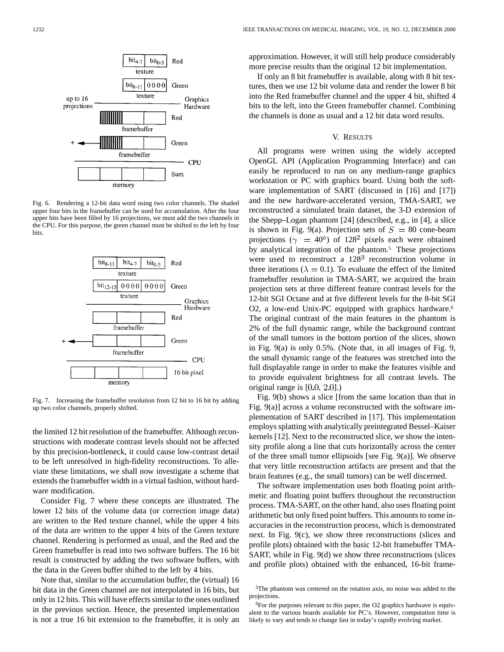

Fig. 6. Rendering a 12-bit data word using two color channels. The shaded upper four bits in the framebuffer can be used for accumulation. After the four upper bits have been filled by 16 projections, we must add the two channels in the CPU. For this purpose, the green channel must be shifted to the left by four bits.



Fig. 7. Increasing the framebuffer resolution from 12 bit to 16 bit by adding up two color channels, properly shifted.

the limited 12 bit resolution of the framebuffer. Although reconstructions with moderate contrast levels should not be affected by this precision-bottleneck, it could cause low-contrast detail to be left unresolved in high-fidelity reconstructions. To alleviate these limitations, we shall now investigate a scheme that extends the framebuffer width in a virtual fashion, without hardware modification.

Consider Fig. 7 where these concepts are illustrated. The lower 12 bits of the volume data (or correction image data) are written to the Red texture channel, while the upper 4 bits of the data are written to the upper 4 bits of the Green texture channel. Rendering is performed as usual, and the Red and the Green framebuffer is read into two software buffers. The 16 bit result is constructed by adding the two software buffers, with the data in the Green buffer shifted to the left by 4 bits.

Note that, similar to the accumulation buffer, the (virtual) 16 bit data in the Green channel are not interpolated in 16 bits, but only in 12 bits. This will have effects similar to the ones outlined in the previous section. Hence, the presented implementation is not a true 16 bit extension to the framebuffer, it is only an approximation. However, it will still help produce considerably more precise results than the original 12 bit implementation.

If only an 8 bit framebuffer is available, along with 8 bit textures, then we use 12 bit volume data and render the lower 8 bit into the Red framebuffer channel and the upper 4 bit, shifted 4 bits to the left, into the Green framebuffer channel. Combining the channels is done as usual and a 12 bit data word results.

# V. RESULTS

All programs were written using the widely accepted OpenGL API (Application Programming Interface) and can easily be reproduced to run on any medium-range graphics workstation or PC with graphics board. Using both the software implementation of SART (discussed in [16] and [17]) and the new hardware-accelerated version, TMA-SART, we reconstructed a simulated brain dataset, the 3-D extension of the Shepp–Logan phantom [24] (described, e.g., in [4], a slice is shown in Fig. 9(a). Projection sets of  $S = 80$  cone-beam projections ( $\gamma$  = 40°) of 128<sup>2</sup> pixels each were obtained by analytical integration of the phantom.5 These projections were used to reconstruct a  $128<sup>3</sup>$  reconstruction volume in three iterations ( $\lambda = 0.1$ ). To evaluate the effect of the limited framebuffer resolution in TMA-SART, we acquired the brain projection sets at three different feature contrast levels for the 12-bit SGI Octane and at five different levels for the 8-bit SGI O2, a low-end Unix-PC equipped with graphics hardware.<sup>6</sup> The original contrast of the main features in the phantom is 2% of the full dynamic range, while the background contrast of the small tumors in the bottom portion of the slices, shown in Fig. 9(a) is only 0.5%. (Note that, in all images of Fig. 9, the small dynamic range of the features was stretched into the full displayable range in order to make the features visible and to provide equivalent brightness for all contrast levels. The original range is  $[0.0, 2.0]$ .)

Fig. 9(b) shows a slice [from the same location than that in Fig. 9(a)] across a volume reconstructed with the software implementation of SART described in [17]. This implementation employs splatting with analytically preintegrated Bessel–Kaiser kernels [12]. Next to the reconstructed slice, we show the intensity profile along a line that cuts horizontally across the center of the three small tumor ellipsoids [see Fig. 9(a)]. We observe that very little reconstruction artifacts are present and that the brain features (e.g., the small tumors) can be well discerned.

The software implementation uses both floating point arithmetic and floating point buffers throughout the reconstruction process. TMA-SART, on the other hand, also uses floating point arithmetic but only fixed point buffers. This amounts to some inaccuracies in the reconstruction process, which is demonstrated next. In Fig. 9(c), we show three reconstructions (slices and profile plots) obtained with the basic 12-bit framebuffer TMA-SART, while in Fig. 9(d) we show three reconstructions (slices and profile plots) obtained with the enhanced, 16-bit frame-

<sup>5</sup>The phantom was centered on the rotation axis, no noise was added to the projections.

<sup>6</sup>For the purposes relevant to this paper, the O2 graphics hardwave is equivalent to the various boards available for PC's. However, computation time is likely to vary and tends to change fast in today's rapidly evolving market.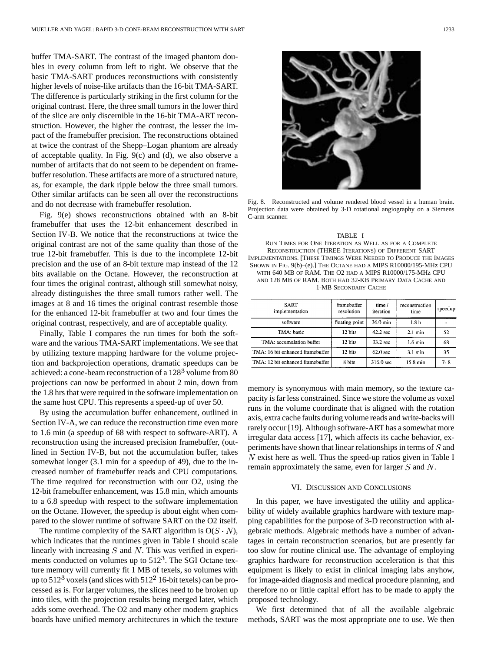buffer TMA-SART. The contrast of the imaged phantom doubles in every column from left to right. We observe that the basic TMA-SART produces reconstructions with consistently higher levels of noise-like artifacts than the 16-bit TMA-SART. The difference is particularly striking in the first column for the original contrast. Here, the three small tumors in the lower third of the slice are only discernible in the 16-bit TMA-ART reconstruction. However, the higher the contrast, the lesser the impact of the framebuffer precision. The reconstructions obtained at twice the contrast of the Shepp–Logan phantom are already of acceptable quality. In Fig. 9(c) and (d), we also observe a number of artifacts that do not seem to be dependent on framebuffer resolution. These artifacts are more of a structured nature, as, for example, the dark ripple below the three small tumors. Other similar artifacts can be seen all over the reconstructions and do not decrease with framebuffer resolution.

Fig. 9(e) shows reconstructions obtained with an 8-bit framebuffer that uses the 12-bit enhancement described in Section IV-B. We notice that the reconstructions at twice the original contrast are not of the same quality than those of the true 12-bit framebuffer. This is due to the incomplete 12-bit precision and the use of an 8-bit texture map instead of the 12 bits available on the Octane. However, the reconstruction at four times the original contrast, although still somewhat noisy, already distinguishes the three small tumors rather well. The images at 8 and 16 times the original contrast resemble those for the enhanced 12-bit framebuffer at two and four times the original contrast, respectively, and are of acceptable quality.

Finally, Table I compares the run times for both the software and the various TMA-SART implementations. We see that by utilizing texture mapping hardware for the volume projection and backprojection operations, dramatic speedups can be achieved: a cone-beam reconstruction of a 128<sup>3</sup> volume from 80 projections can now be performed in about 2 min, down from the 1.8 hrs that were required in the software implementation on the same host CPU. This represents a speed-up of over 50.

By using the accumulation buffer enhancement, outlined in Section IV-A, we can reduce the reconstruction time even more to 1.6 min (a speedup of 68 with respect to software-ART). A reconstruction using the increased precision framebuffer, (outlined in Section IV-B, but not the accumulation buffer, takes somewhat longer (3.1 min for a speedup of 49), due to the increased number of framebuffer reads and CPU computations. The time required for reconstruction with our O2, using the 12-bit framebuffer enhancement, was 15.8 min, which amounts to a 6.8 speedup with respect to the software implementation on the Octane. However, the speedup is about eight when compared to the slower runtime of software SART on the O2 itself.

The runtime complexity of the SART algorithm is  $O(S \cdot N)$ , which indicates that the runtimes given in Table I should scale linearly with increasing  $S$  and  $N$ . This was verified in experiments conducted on volumes up to  $512<sup>3</sup>$ . The SGI Octane texture memory will currently fit 1 MB of texels, so volumes with up to  $512<sup>3</sup>$  voxels (and slices with  $512<sup>2</sup>$  16-bit texels) can be processed as is. For larger volumes, the slices need to be broken up into tiles, with the projection results being merged later, which adds some overhead. The O2 and many other modern graphics boards have unified memory architectures in which the texture



Fig. 8. Reconstructed and volume rendered blood vessel in a human brain. Projection data were obtained by 3-D rotational angiography on a Siemens C-arm scanner.

TABLE I RUN TIMES FOR ONE ITERATION AS WELL AS FOR A COMPLETE RECONSTRUCTION (THREE ITERATIONS) OF DIFFERENT SART IMPLEMENTATIONS. [THESE TIMINGS WERE NEEDED TO PRODUCE THE IMAGES SHOWN IN FIG. 9(b)-(e).] THE OCTANE HAD A MIPS R10000/195-MHz CPU WITH 640 MB OF RAM. THE O2 HAD A MIPS R10000/175-MHz CPU AND 128 MB OF RAM. BOTH HAD 32-KB PRIMARY DATA CACHE AND 1-MB SECONDARY CACHE

| SART<br>implementation           | framebuffer<br>resolution | time/<br>iteration | reconstruction<br>time | speedup |
|----------------------------------|---------------------------|--------------------|------------------------|---------|
| software                         | floating point            | 36.0 min           | 1.8 <sub>h</sub>       |         |
| TMA: basic                       | 12 bits                   | 42.2 sec           | $2.1 \text{ min}$      | 52      |
| TMA: accumulation buffer         | 12 bits                   | 33.2 sec           | $1.6 \text{ min}$      | 68      |
| TMA: 16 bit enhanced framebuffer | 12 bits                   | 62.0 sec           | $3.1 \text{ min}$      | 35      |
| TMA: 12 bit enhanced framebuffer | 8 bits                    | $316.0$ sec        | $15.8 \text{ min}$     | 7- 8    |

memory is synonymous with main memory, so the texture capacity is far less constrained. Since we store the volume as voxel runs in the volume coordinate that is aligned with the rotation axis, extra cache faults during volume reads and write-backs will rarely occur [19]. Although software-ART has a somewhat more irregular data access [17], which affects its cache behavior, experiments have shown that linear relationships in terms of  $S$  and  $N$  exist here as well. Thus the speed-up ratios given in Table I remain approximately the same, even for larger  $S$  and  $N$ .

#### VI. DISCUSSION AND CONCLUSIONS

In this paper, we have investigated the utility and applicability of widely available graphics hardware with texture mapping capabilities for the purpose of 3-D reconstruction with algebraic methods. Algebraic methods have a number of advantages in certain reconstruction scenarios, but are presently far too slow for routine clinical use. The advantage of employing graphics hardware for reconstruction acceleration is that this equipment is likely to exist in clinical imaging labs anyhow, for image-aided diagnosis and medical procedure planning, and therefore no or little capital effort has to be made to apply the proposed technology.

We first determined that of all the available algebraic methods, SART was the most appropriate one to use. We then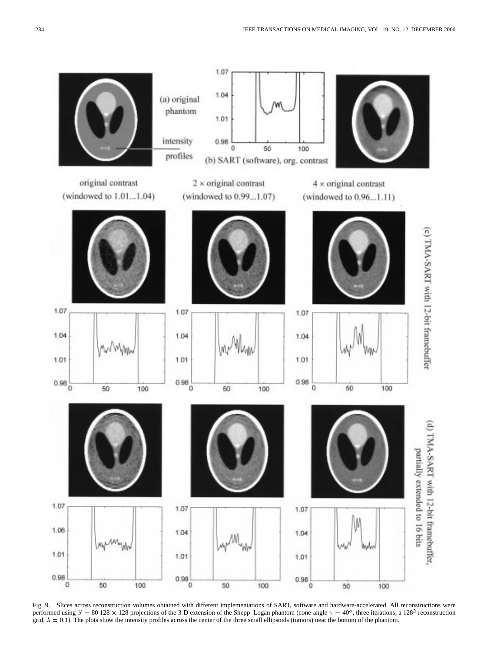

Fig. 9. Slices across reconstruction volumes obtained with different implementations of SART, software and hardware-accelerated. All reconstructions were performed using  $S = 80\,128 \times 128$  projections of the 3-D extension of the Shepp–Logan phantom (cone-angle  $\gamma = 40^\circ$ , three iterations, a 128<sup>3</sup> reconstruction grid,  $\lambda = 0.1$ ). The plots show the intensity profiles across the center of the three small ellipsoids (tumors) near the bottom of the phantom.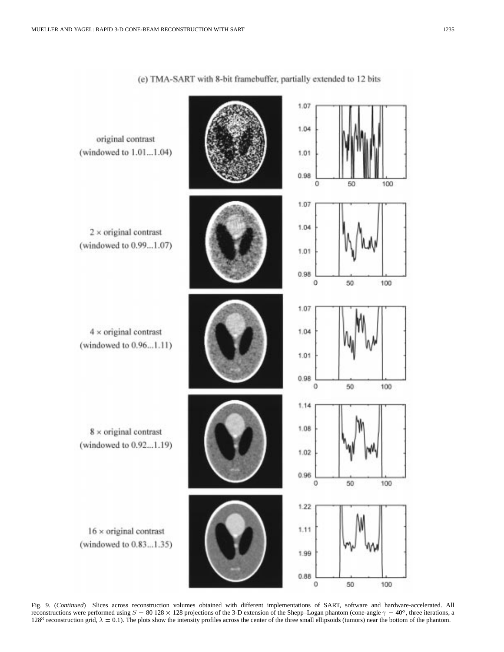

(e) TMA-SART with 8-bit framebuffer, partially extended to 12 bits

Fig. 9. (*Continued*) Slices across reconstruction volumes obtained with different implementations of SART, software and hardware-accelerated. All reconstructions were performed using  $S = 80\,128 \times 128$  projections of the 3-D extension of the Shepp–Logan phantom (cone-angle  $\gamma = 40^\circ$ , three iterations, a 128<sup>3</sup> reconstruction grid,  $\lambda = 0.1$ ). The plots show the intensity profiles across the center of the three small ellipsoids (tumors) near the bottom of the phantom.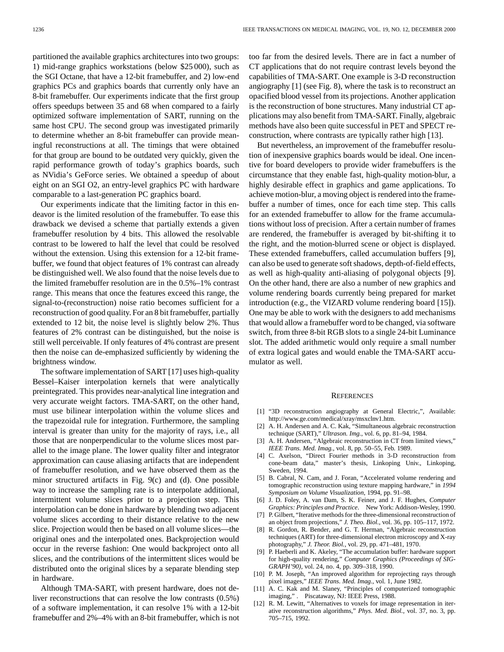partitioned the available graphics architectures into two groups: 1) mid-range graphics workstations (below \$25 000), such as the SGI Octane, that have a 12-bit framebuffer, and 2) low-end graphics PCs and graphics boards that currently only have an 8-bit framebuffer. Our experiments indicate that the first group offers speedups between 35 and 68 when compared to a fairly optimized software implementation of SART, running on the same host CPU. The second group was investigated primarily to determine whether an 8-bit framebuffer can provide meaningful reconstructions at all. The timings that were obtained for that group are bound to be outdated very quickly, given the rapid performance growth of today's graphics boards, such as NVidia's GeForce series. We obtained a speedup of about eight on an SGI O2, an entry-level graphics PC with hardware comparable to a last-generation PC graphics board.

Our experiments indicate that the limiting factor in this endeavor is the limited resolution of the framebuffer. To ease this drawback we devised a scheme that partially extends a given framebuffer resolution by 4 bits. This allowed the resolvable contrast to be lowered to half the level that could be resolved without the extension. Using this extension for a 12-bit framebuffer, we found that object features of 1% contrast can already be distinguished well. We also found that the noise levels due to the limited framebuffer resolution are in the 0.5%–1% contrast range. This means that once the features exceed this range, the signal-to-(reconstruction) noise ratio becomes sufficient for a reconstruction of good quality. For an 8 bit framebuffer, partially extended to 12 bit, the noise level is slightly below 2%. Thus features of 2% contrast can be distinguished, but the noise is still well perceivable. If only features of 4% contrast are present then the noise can de-emphasized sufficiently by widening the brightness window.

The software implementation of SART [17] uses high-quality Bessel–Kaiser interpolation kernels that were analytically preintegrated. This provides near-analytical line integration and very accurate weight factors. TMA-SART, on the other hand, must use bilinear interpolation within the volume slices and the trapezoidal rule for integration. Furthermore, the sampling interval is greater than unity for the majority of rays, i.e., all those that are nonperpendicular to the volume slices most parallel to the image plane. The lower quality filter and integrator approximation can cause aliasing artifacts that are independent of framebuffer resolution, and we have observed them as the minor structured artifacts in Fig. 9(c) and (d). One possible way to increase the sampling rate is to interpolate additional, intermittent volume slices prior to a projection step. This interpolation can be done in hardware by blending two adjacent volume slices according to their distance relative to the new slice. Projection would then be based on all volume slices—the original ones and the interpolated ones. Backprojection would occur in the reverse fashion: One would backproject onto all slices, and the contributions of the intermittent slices would be distributed onto the original slices by a separate blending step in hardware.

Although TMA-SART, with present hardware, does not deliver reconstructions that can resolve the low contrasts (0.5%) of a software implementation, it can resolve 1% with a 12-bit framebuffer and 2%–4% with an 8-bit framebuffer, which is not too far from the desired levels. There are in fact a number of CT applications that do not require contrast levels beyond the capabilities of TMA-SART. One example is 3-D reconstruction angiography [1] (see Fig. 8), where the task is to reconstruct an opacified blood vessel from its projections. Another application is the reconstruction of bone structures. Many industrial CT applications may also benefit from TMA-SART. Finally, algebraic methods have also been quite successful in PET and SPECT reconstruction, where contrasts are typically rather high [13].

But nevertheless, an improvement of the framebuffer resolution of inexpensive graphics boards would be ideal. One incentive for board developers to provide wider framebuffers is the circumstance that they enable fast, high-quality motion-blur, a highly desirable effect in graphics and game applications. To achieve motion-blur, a moving object is rendered into the framebuffer a number of times, once for each time step. This calls for an extended framebuffer to allow for the frame accumulations without loss of precision. After a certain number of frames are rendered, the framebuffer is averaged by bit-shifting it to the right, and the motion-blurred scene or object is displayed. These extended framebuffers, called accumulation buffers [9], can also be used to generate soft shadows, depth-of-field effects, as well as high-quality anti-aliasing of polygonal objects [9]. On the other hand, there are also a number of new graphics and volume rendering boards currently being prepared for market introduction (e.g., the VIZARD volume rendering board [15]). One may be able to work with the designers to add mechanisms that would allow a framebuffer word to be changed, via software switch, from three 8-bit RGB slots to a single 24-bit Luminance slot. The added arithmetic would only require a small number of extra logical gates and would enable the TMA-SART accumulator as well.

#### **REFERENCES**

- [1] "3D reconstruction angiography at General Electric,", Available: http://www.ge.com/medical/xray/msxclnv1.htm.
- [2] A. H. Andersen and A. C. Kak, "Simultaneous algebraic reconstruction technique (SART)," *Ultrason. Img.*, vol. 6, pp. 81–94, 1984.
- [3] A. H. Andersen, "Algebraic reconstruction in CT from limited views," *IEEE Trans. Med. Imag.*, vol. 8, pp. 50–55, Feb. 1989.
- [4] C. Axelson, "Direct Fourier methods in 3-D reconstruction from cone-beam data," master's thesis, Linkoping Univ., Linkoping, Sweden, 1994.
- [5] B. Cabral, N. Cam, and J. Foran, "Accelerated volume rendering and tomographic reconstruction using texture mapping hardware," in *1994 Symposium on Volume Visualization*, 1994, pp. 91–98.
- [6] J. D. Foley, A. van Dam, S. K. Feiner, and J. F. Hughes, *Computer Graphics: Principles and Practice*. New York: Addison-Wesley, 1990.
- [7] P. Gilbert, "Iterative methods for the three-dimensional reconstruction of an object from projections," *J. Theo. Biol.*, vol. 36, pp. 105–117, 1972.
- [8] R. Gordon, R. Bender, and G. T. Herman, "Algebraic reconstruction techniques (ART) for three-dimensional electron microscopy and X-ray photography," *J. Theor. Biol.*, vol. 29, pp. 471–481, 1970.
- [9] P. Haeberli and K. Akeley, "The accumulation buffer: hardware support for high-quality rendering," *Computer Graphics (Proceedings of SIG-GRAPH'90)*, vol. 24, no. 4, pp. 309–318, 1990.
- [10] P. M. Joseph, "An improved algorithm for reprojecting rays through pixel images," *IEEE Trans. Med. Imag.*, vol. 1, June 1982.
- [11] A. C. Kak and M. Slaney, "Principles of computerized tomographic imaging," . Piscataway, NJ: IEEE Press, 1988.
- [12] R. M. Lewitt, "Alternatives to voxels for image representation in iterative reconstruction algorithms," *Phys. Med. Biol.*, vol. 37, no. 3, pp. 705–715, 1992.